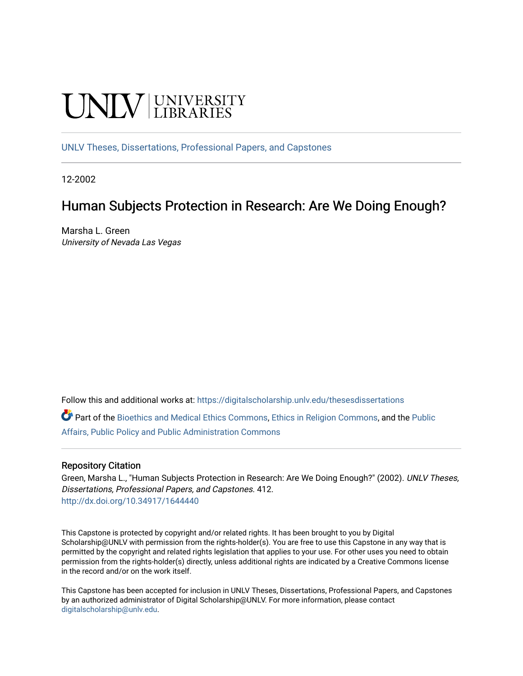# **UNIVERSITY**

[UNLV Theses, Dissertations, Professional Papers, and Capstones](https://digitalscholarship.unlv.edu/thesesdissertations)

12-2002

# Human Subjects Protection in Research: Are We Doing Enough?

Marsha L. Green University of Nevada Las Vegas

Follow this and additional works at: [https://digitalscholarship.unlv.edu/thesesdissertations](https://digitalscholarship.unlv.edu/thesesdissertations?utm_source=digitalscholarship.unlv.edu%2Fthesesdissertations%2F412&utm_medium=PDF&utm_campaign=PDFCoverPages)

Part of the [Bioethics and Medical Ethics Commons,](http://network.bepress.com/hgg/discipline/650?utm_source=digitalscholarship.unlv.edu%2Fthesesdissertations%2F412&utm_medium=PDF&utm_campaign=PDFCoverPages) [Ethics in Religion Commons](http://network.bepress.com/hgg/discipline/541?utm_source=digitalscholarship.unlv.edu%2Fthesesdissertations%2F412&utm_medium=PDF&utm_campaign=PDFCoverPages), and the [Public](http://network.bepress.com/hgg/discipline/393?utm_source=digitalscholarship.unlv.edu%2Fthesesdissertations%2F412&utm_medium=PDF&utm_campaign=PDFCoverPages)  [Affairs, Public Policy and Public Administration Commons](http://network.bepress.com/hgg/discipline/393?utm_source=digitalscholarship.unlv.edu%2Fthesesdissertations%2F412&utm_medium=PDF&utm_campaign=PDFCoverPages)

#### Repository Citation

Green, Marsha L., "Human Subjects Protection in Research: Are We Doing Enough?" (2002). UNLV Theses, Dissertations, Professional Papers, and Capstones. 412. <http://dx.doi.org/10.34917/1644440>

This Capstone is protected by copyright and/or related rights. It has been brought to you by Digital Scholarship@UNLV with permission from the rights-holder(s). You are free to use this Capstone in any way that is permitted by the copyright and related rights legislation that applies to your use. For other uses you need to obtain permission from the rights-holder(s) directly, unless additional rights are indicated by a Creative Commons license in the record and/or on the work itself.

This Capstone has been accepted for inclusion in UNLV Theses, Dissertations, Professional Papers, and Capstones by an authorized administrator of Digital Scholarship@UNLV. For more information, please contact [digitalscholarship@unlv.edu](mailto:digitalscholarship@unlv.edu).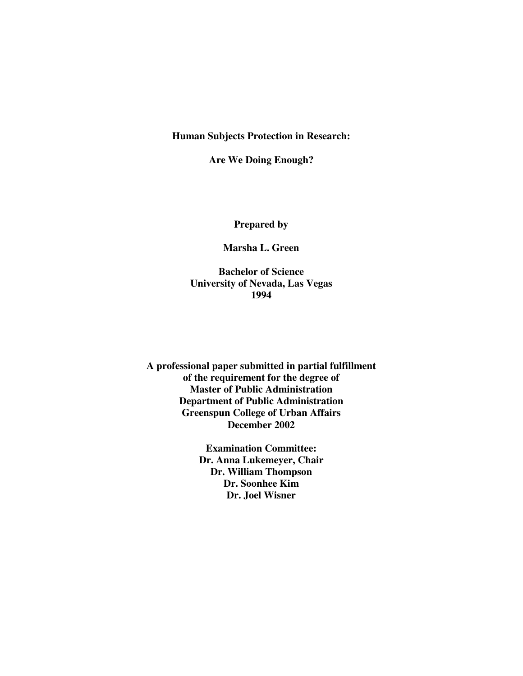**Human Subjects Protection in Research:** 

**Are We Doing Enough?** 

**Prepared by** 

**Marsha L. Green** 

**Bachelor of Science University of Nevada, Las Vegas 1994** 

**A professional paper submitted in partial fulfillment of the requirement for the degree of Master of Public Administration Department of Public Administration Greenspun College of Urban Affairs December 2002** 

> **Examination Committee: Dr. Anna Lukemeyer, Chair Dr. William Thompson Dr. Soonhee Kim Dr. Joel Wisner**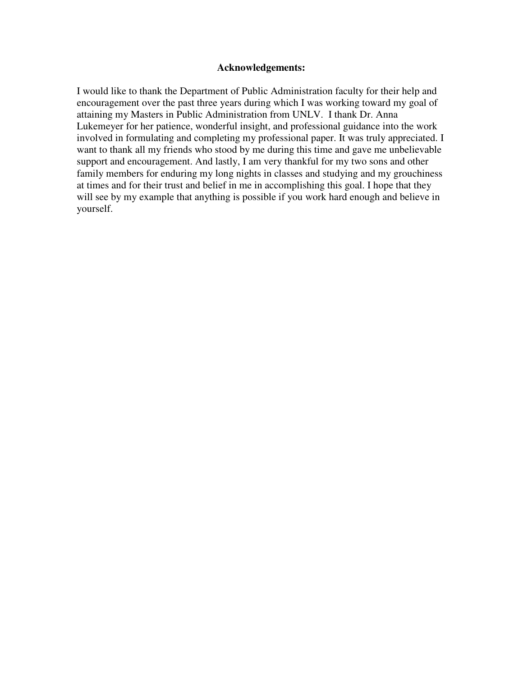#### **Acknowledgements:**

I would like to thank the Department of Public Administration faculty for their help and encouragement over the past three years during which I was working toward my goal of attaining my Masters in Public Administration from UNLV. I thank Dr. Anna Lukemeyer for her patience, wonderful insight, and professional guidance into the work involved in formulating and completing my professional paper. It was truly appreciated. I want to thank all my friends who stood by me during this time and gave me unbelievable support and encouragement. And lastly, I am very thankful for my two sons and other family members for enduring my long nights in classes and studying and my grouchiness at times and for their trust and belief in me in accomplishing this goal. I hope that they will see by my example that anything is possible if you work hard enough and believe in yourself.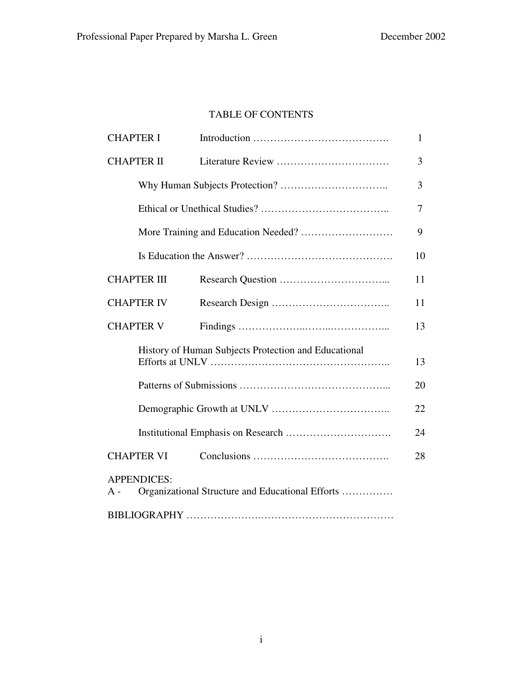# TABLE OF CONTENTS

| <b>CHAPTER I</b>          |                                                      | $\mathbf{1}$ |
|---------------------------|------------------------------------------------------|--------------|
| <b>CHAPTER II</b>         |                                                      | 3            |
|                           |                                                      | 3            |
|                           |                                                      | 7            |
|                           |                                                      | 9            |
|                           |                                                      | 10           |
| <b>CHAPTER III</b>        |                                                      | 11           |
| <b>CHAPTER IV</b>         |                                                      | 11           |
| <b>CHAPTER V</b>          |                                                      | 13           |
|                           | History of Human Subjects Protection and Educational | 13           |
|                           |                                                      | 20           |
|                           |                                                      | 22           |
|                           |                                                      | 24           |
| <b>CHAPTER VI</b>         |                                                      | 28           |
| <b>APPENDICES:</b><br>A - | Organizational Structure and Educational Efforts     |              |
|                           |                                                      |              |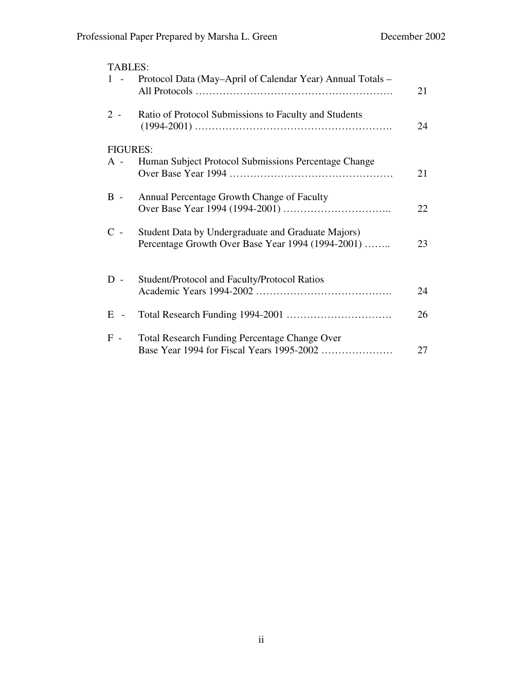| <b>TABLES:</b>  |                                                                                                         |    |
|-----------------|---------------------------------------------------------------------------------------------------------|----|
| $1 -$           | Protocol Data (May-April of Calendar Year) Annual Totals -                                              | 21 |
| $2 -$           | Ratio of Protocol Submissions to Faculty and Students                                                   | 24 |
| <b>FIGURES:</b> |                                                                                                         |    |
| $A -$           | Human Subject Protocol Submissions Percentage Change                                                    | 21 |
| $B -$           | Annual Percentage Growth Change of Faculty                                                              | 22 |
| $C -$           | Student Data by Undergraduate and Graduate Majors)<br>Percentage Growth Over Base Year 1994 (1994-2001) | 23 |
| $D -$           | Student/Protocol and Faculty/Protocol Ratios                                                            | 24 |
| $E -$           |                                                                                                         | 26 |
| $F -$           | <b>Total Research Funding Percentage Change Over</b>                                                    | 27 |
|                 |                                                                                                         |    |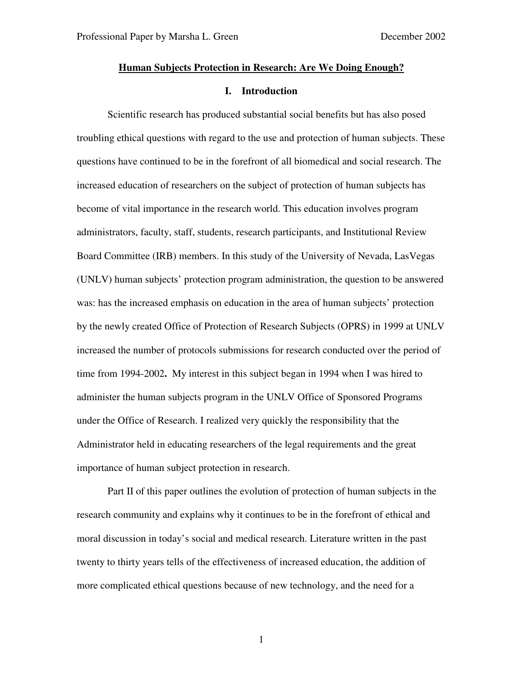#### **Human Subjects Protection in Research: Are We Doing Enough?**

## **I. Introduction**

Scientific research has produced substantial social benefits but has also posed troubling ethical questions with regard to the use and protection of human subjects. These questions have continued to be in the forefront of all biomedical and social research. The increased education of researchers on the subject of protection of human subjects has become of vital importance in the research world. This education involves program administrators, faculty, staff, students, research participants, and Institutional Review Board Committee (IRB) members. In this study of the University of Nevada, LasVegas (UNLV) human subjects' protection program administration, the question to be answered was: has the increased emphasis on education in the area of human subjects' protection by the newly created Office of Protection of Research Subjects (OPRS) in 1999 at UNLV increased the number of protocols submissions for research conducted over the period of time from 1994-2002**.** My interest in this subject began in 1994 when I was hired to administer the human subjects program in the UNLV Office of Sponsored Programs under the Office of Research. I realized very quickly the responsibility that the Administrator held in educating researchers of the legal requirements and the great importance of human subject protection in research.

Part II of this paper outlines the evolution of protection of human subjects in the research community and explains why it continues to be in the forefront of ethical and moral discussion in today's social and medical research. Literature written in the past twenty to thirty years tells of the effectiveness of increased education, the addition of more complicated ethical questions because of new technology, and the need for a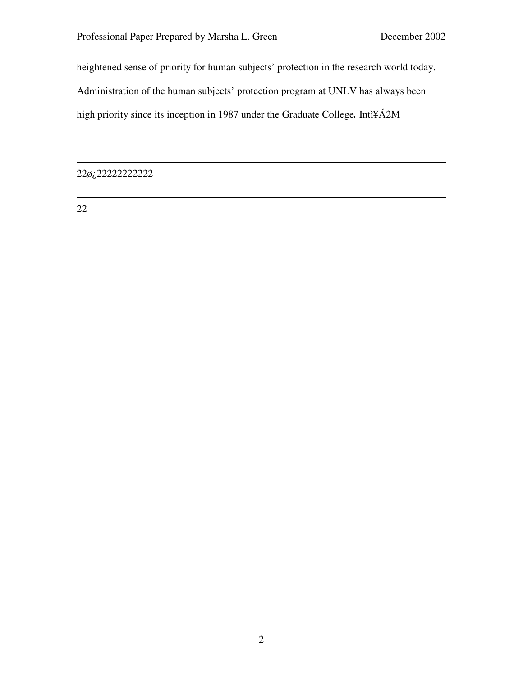# Professional Paper Prepared by Marsha L. Green December 2002

heightened sense of priority for human subjects' protection in the research world today. Administration of the human subjects' protection program at UNLV has always been high priority since its inception in 1987 under the Graduate College*.* Intì¥Á2M

22ø¿22222222222

 $\overline{a}$ 22

 $\overline{a}$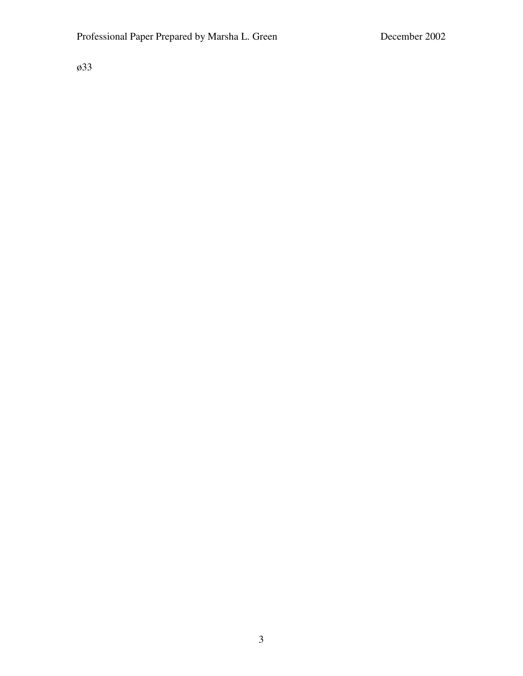ø33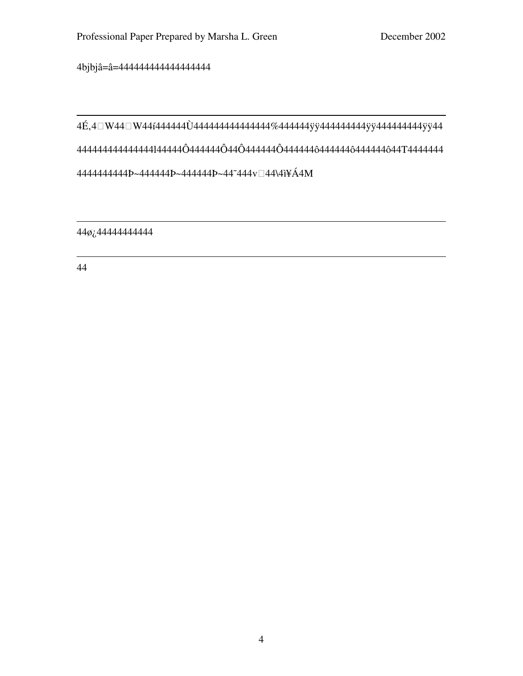4bjbjâ=â=444444444444444444

 $\overline{a}$ 4ɂ4W44W44í444444Ù444444444444444%444444ÿÿ444444444ÿÿ444444444ÿÿ44 444444444444444l44444Ô444444Ô44Ô444444Ô444444ô444444ô444444ô44T4444444 4444444444Þ~444444Þ~444444Þ~44˜444v44\4ì¥Á4M

1 44ø¿44444444444

 $\overline{a}$ 44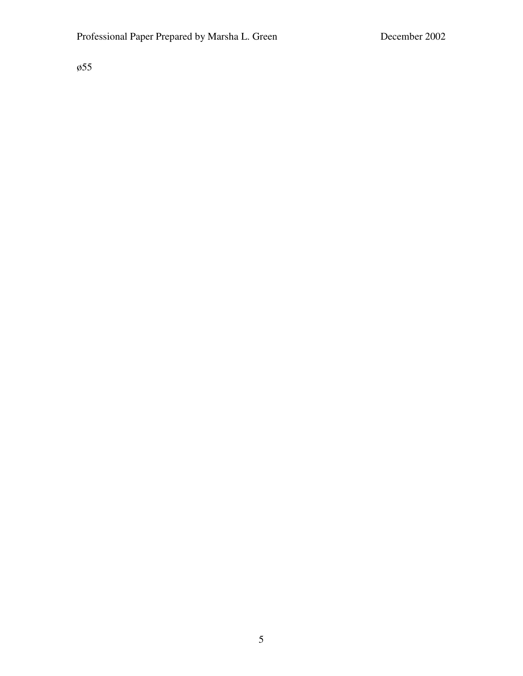ø55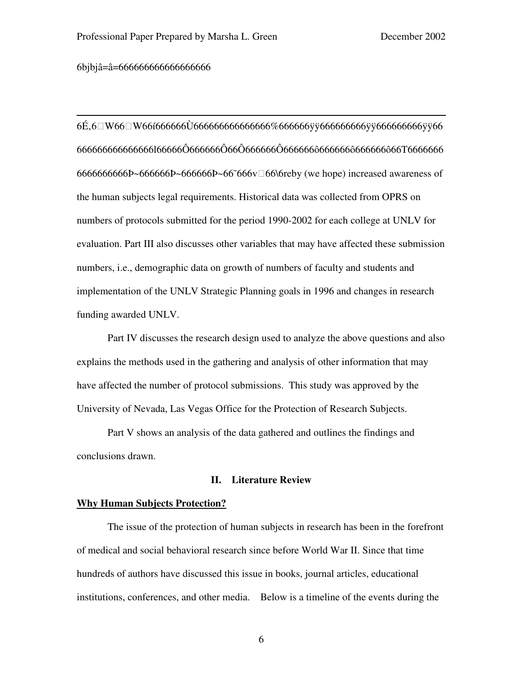6bjbjâ=â=666666666666666666

 $\overline{a}$ 

6ɂ6W66W66í666666Ù666666666666666%666666ÿÿ666666666ÿÿ666666666ÿÿ66 666666666666666l66666Ô666666Ô66Ô666666Ô666666ô666666ô666666ô66T6666666 6666666666Þ~666666Þ~666666Þ~66˜666v66\6reby (we hope) increased awareness of the human subjects legal requirements. Historical data was collected from OPRS on numbers of protocols submitted for the period 1990-2002 for each college at UNLV for evaluation. Part III also discusses other variables that may have affected these submission numbers, i.e., demographic data on growth of numbers of faculty and students and implementation of the UNLV Strategic Planning goals in 1996 and changes in research funding awarded UNLV.

Part IV discusses the research design used to analyze the above questions and also explains the methods used in the gathering and analysis of other information that may have affected the number of protocol submissions. This study was approved by the University of Nevada, Las Vegas Office for the Protection of Research Subjects.

Part V shows an analysis of the data gathered and outlines the findings and conclusions drawn.

#### **II. Literature Review**

#### **Why Human Subjects Protection?**

The issue of the protection of human subjects in research has been in the forefront of medical and social behavioral research since before World War II. Since that time hundreds of authors have discussed this issue in books, journal articles, educational institutions, conferences, and other media. Below is a timeline of the events during the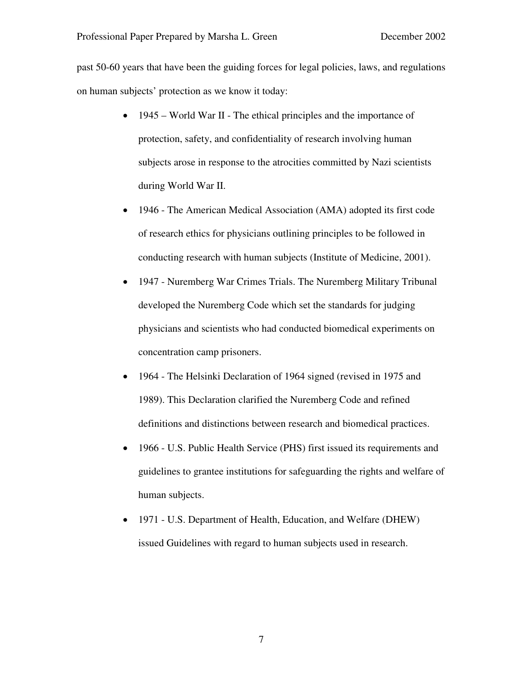past 50-60 years that have been the guiding forces for legal policies, laws, and regulations on human subjects' protection as we know it today:

- 1945 World War II The ethical principles and the importance of protection, safety, and confidentiality of research involving human subjects arose in response to the atrocities committed by Nazi scientists during World War II.
- 1946 The American Medical Association (AMA) adopted its first code of research ethics for physicians outlining principles to be followed in conducting research with human subjects (Institute of Medicine, 2001).
- 1947 Nuremberg War Crimes Trials. The Nuremberg Military Tribunal developed the Nuremberg Code which set the standards for judging physicians and scientists who had conducted biomedical experiments on concentration camp prisoners.
- 1964 The Helsinki Declaration of 1964 signed (revised in 1975 and 1989). This Declaration clarified the Nuremberg Code and refined definitions and distinctions between research and biomedical practices.
- 1966 U.S. Public Health Service (PHS) first issued its requirements and guidelines to grantee institutions for safeguarding the rights and welfare of human subjects.
- 1971 U.S. Department of Health, Education, and Welfare (DHEW) issued Guidelines with regard to human subjects used in research.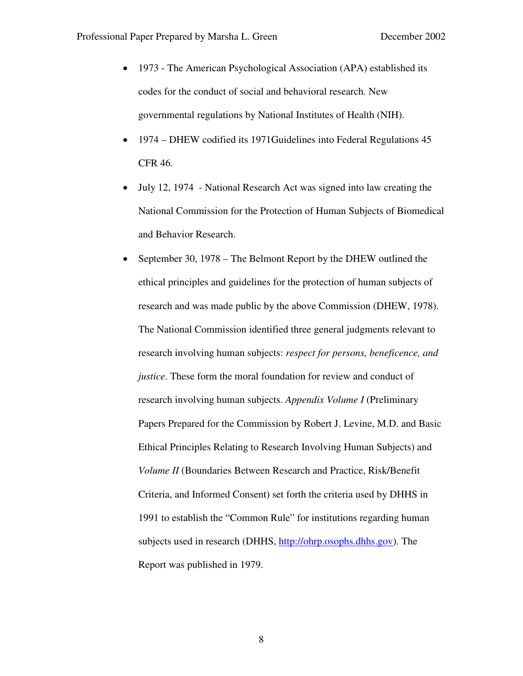- 1973 The American Psychological Association (APA) established its codes for the conduct of social and behavioral research. New governmental regulations by National Institutes of Health (NIH).
- 1974 DHEW codified its 1971Guidelines into Federal Regulations 45 CFR 46.
- July 12, 1974 National Research Act was signed into law creating the National Commission for the Protection of Human Subjects of Biomedical and Behavior Research.
- September 30, 1978 The Belmont Report by the DHEW outlined the ethical principles and guidelines for the protection of human subjects of research and was made public by the above Commission (DHEW, 1978). The National Commission identified three general judgments relevant to research involving human subjects: *respect for persons, beneficence, and justice*. These form the moral foundation for review and conduct of research involving human subjects. *Appendix Volume I* (Preliminary Papers Prepared for the Commission by Robert J. Levine, M.D. and Basic Ethical Principles Relating to Research Involving Human Subjects) and *Volume II* (Boundaries Between Research and Practice, Risk/Benefit Criteria, and Informed Consent) set forth the criteria used by DHHS in 1991 to establish the "Common Rule" for institutions regarding human subjects used in research (DHHS, http://ohrp.osophs.dhhs.gov). The Report was published in 1979.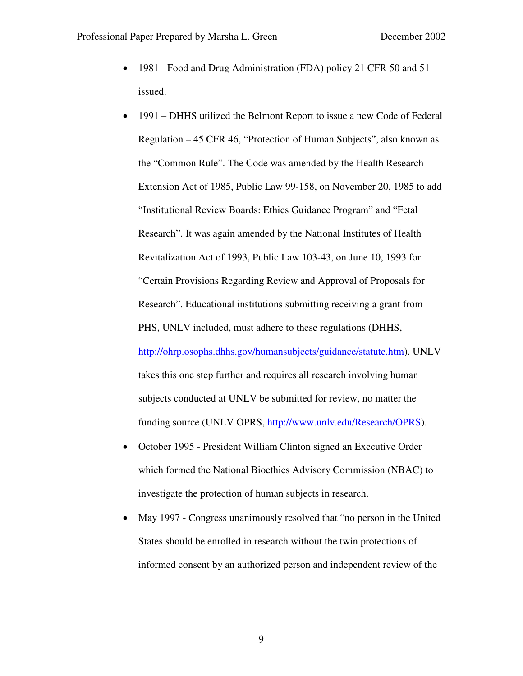- 1981 Food and Drug Administration (FDA) policy 21 CFR 50 and 51 issued.
- 1991 DHHS utilized the Belmont Report to issue a new Code of Federal Regulation – 45 CFR 46, "Protection of Human Subjects", also known as the "Common Rule". The Code was amended by the Health Research Extension Act of 1985, Public Law 99-158, on November 20, 1985 to add "Institutional Review Boards: Ethics Guidance Program" and "Fetal Research". It was again amended by the National Institutes of Health Revitalization Act of 1993, Public Law 103-43, on June 10, 1993 for "Certain Provisions Regarding Review and Approval of Proposals for Research". Educational institutions submitting receiving a grant from PHS, UNLV included, must adhere to these regulations (DHHS, http://ohrp.osophs.dhhs.gov/humansubjects/guidance/statute.htm). UNLV takes this one step further and requires all research involving human

subjects conducted at UNLV be submitted for review, no matter the funding source (UNLV OPRS, http://www.unlv.edu/Research/OPRS).

- October 1995 President William Clinton signed an Executive Order which formed the National Bioethics Advisory Commission (NBAC) to investigate the protection of human subjects in research.
- May 1997 Congress unanimously resolved that "no person in the United States should be enrolled in research without the twin protections of informed consent by an authorized person and independent review of the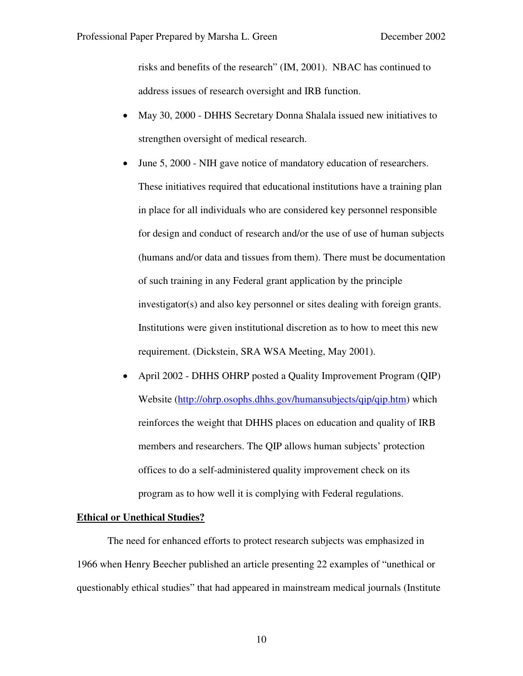risks and benefits of the research" (IM, 2001). NBAC has continued to address issues of research oversight and IRB function.

- May 30, 2000 DHHS Secretary Donna Shalala issued new initiatives to strengthen oversight of medical research.
- June 5, 2000 NIH gave notice of mandatory education of researchers. These initiatives required that educational institutions have a training plan in place for all individuals who are considered key personnel responsible for design and conduct of research and/or the use of use of human subjects (humans and/or data and tissues from them). There must be documentation of such training in any Federal grant application by the principle investigator(s) and also key personnel or sites dealing with foreign grants. Institutions were given institutional discretion as to how to meet this new requirement. (Dickstein, SRA WSA Meeting, May 2001).
- April 2002 DHHS OHRP posted a Quality Improvement Program (QIP) Website (http://ohrp.osophs.dhhs.gov/humansubjects/qip/qip.htm) which reinforces the weight that DHHS places on education and quality of IRB members and researchers. The QIP allows human subjects' protection offices to do a self-administered quality improvement check on its program as to how well it is complying with Federal regulations.

#### **Ethical or Unethical Studies?**

The need for enhanced efforts to protect research subjects was emphasized in 1966 when Henry Beecher published an article presenting 22 examples of "unethical or questionably ethical studies" that had appeared in mainstream medical journals (Institute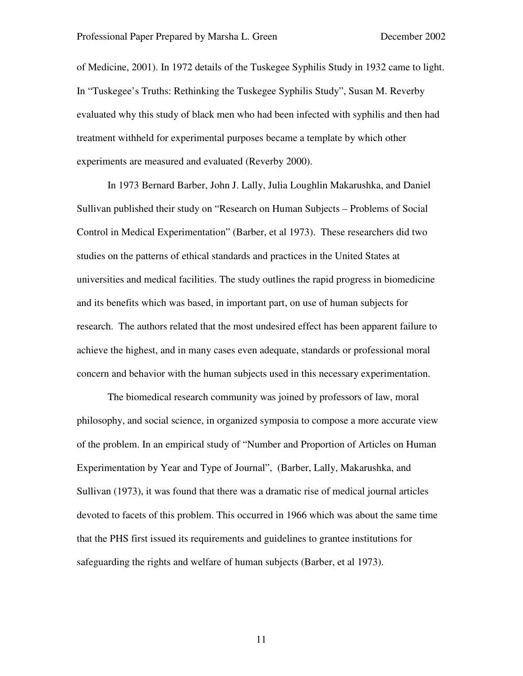of Medicine, 2001). In 1972 details of the Tuskegee Syphilis Study in 1932 came to light. In "Tuskegee's Truths: Rethinking the Tuskegee Syphilis Study", Susan M. Reverby evaluated why this study of black men who had been infected with syphilis and then had treatment withheld for experimental purposes became a template by which other experiments are measured and evaluated (Reverby 2000).

In 1973 Bernard Barber, John J. Lally, Julia Loughlin Makarushka, and Daniel Sullivan published their study on "Research on Human Subjects – Problems of Social Control in Medical Experimentation" (Barber, et al 1973). These researchers did two studies on the patterns of ethical standards and practices in the United States at universities and medical facilities. The study outlines the rapid progress in biomedicine and its benefits which was based, in important part, on use of human subjects for research. The authors related that the most undesired effect has been apparent failure to achieve the highest, and in many cases even adequate, standards or professional moral concern and behavior with the human subjects used in this necessary experimentation.

The biomedical research community was joined by professors of law, moral philosophy, and social science, in organized symposia to compose a more accurate view of the problem. In an empirical study of "Number and Proportion of Articles on Human Experimentation by Year and Type of Journal", (Barber, Lally, Makarushka, and Sullivan (1973), it was found that there was a dramatic rise of medical journal articles devoted to facets of this problem. This occurred in 1966 which was about the same time that the PHS first issued its requirements and guidelines to grantee institutions for safeguarding the rights and welfare of human subjects (Barber, et al 1973).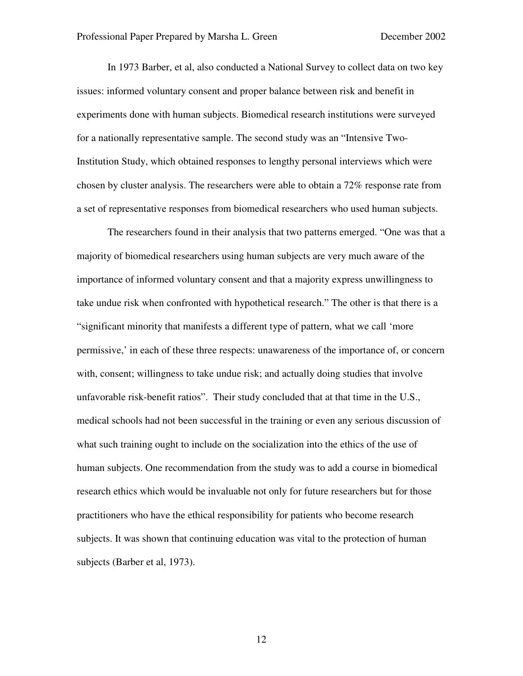In 1973 Barber, et al, also conducted a National Survey to collect data on two key issues: informed voluntary consent and proper balance between risk and benefit in experiments done with human subjects. Biomedical research institutions were surveyed for a nationally representative sample. The second study was an "Intensive Two-Institution Study, which obtained responses to lengthy personal interviews which were chosen by cluster analysis. The researchers were able to obtain a 72% response rate from a set of representative responses from biomedical researchers who used human subjects.

The researchers found in their analysis that two patterns emerged. "One was that a majority of biomedical researchers using human subjects are very much aware of the importance of informed voluntary consent and that a majority express unwillingness to take undue risk when confronted with hypothetical research." The other is that there is a "significant minority that manifests a different type of pattern, what we call 'more permissive,' in each of these three respects: unawareness of the importance of, or concern with, consent; willingness to take undue risk; and actually doing studies that involve unfavorable risk-benefit ratios". Their study concluded that at that time in the U.S., medical schools had not been successful in the training or even any serious discussion of what such training ought to include on the socialization into the ethics of the use of human subjects. One recommendation from the study was to add a course in biomedical research ethics which would be invaluable not only for future researchers but for those practitioners who have the ethical responsibility for patients who become research subjects. It was shown that continuing education was vital to the protection of human subjects (Barber et al, 1973).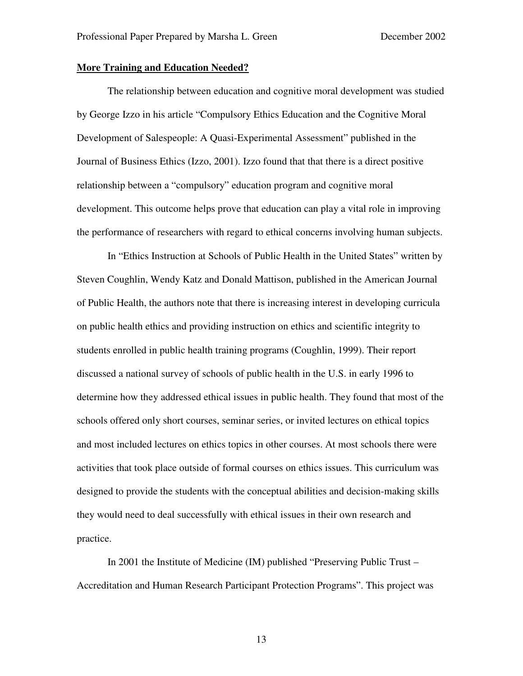#### **More Training and Education Needed?**

The relationship between education and cognitive moral development was studied by George Izzo in his article "Compulsory Ethics Education and the Cognitive Moral Development of Salespeople: A Quasi-Experimental Assessment" published in the Journal of Business Ethics (Izzo, 2001). Izzo found that that there is a direct positive relationship between a "compulsory" education program and cognitive moral development. This outcome helps prove that education can play a vital role in improving the performance of researchers with regard to ethical concerns involving human subjects.

In "Ethics Instruction at Schools of Public Health in the United States" written by Steven Coughlin, Wendy Katz and Donald Mattison, published in the American Journal of Public Health, the authors note that there is increasing interest in developing curricula on public health ethics and providing instruction on ethics and scientific integrity to students enrolled in public health training programs (Coughlin, 1999). Their report discussed a national survey of schools of public health in the U.S. in early 1996 to determine how they addressed ethical issues in public health. They found that most of the schools offered only short courses, seminar series, or invited lectures on ethical topics and most included lectures on ethics topics in other courses. At most schools there were activities that took place outside of formal courses on ethics issues. This curriculum was designed to provide the students with the conceptual abilities and decision-making skills they would need to deal successfully with ethical issues in their own research and practice.

In 2001 the Institute of Medicine (IM) published "Preserving Public Trust – Accreditation and Human Research Participant Protection Programs". This project was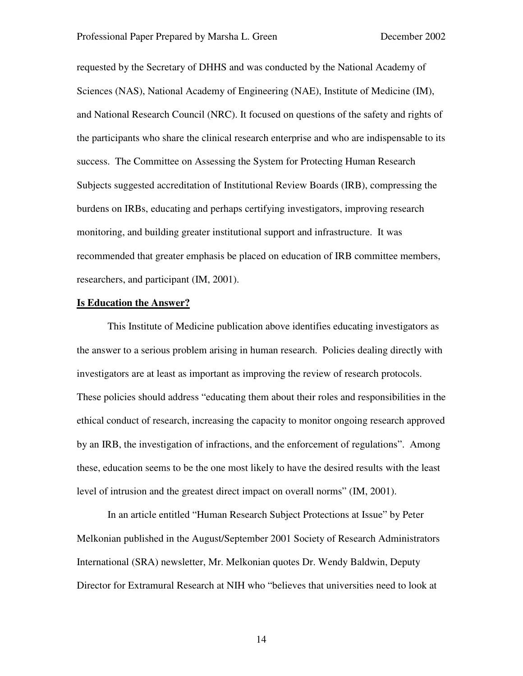#### Professional Paper Prepared by Marsha L. Green December 2002

requested by the Secretary of DHHS and was conducted by the National Academy of Sciences (NAS), National Academy of Engineering (NAE), Institute of Medicine (IM), and National Research Council (NRC). It focused on questions of the safety and rights of the participants who share the clinical research enterprise and who are indispensable to its success. The Committee on Assessing the System for Protecting Human Research Subjects suggested accreditation of Institutional Review Boards (IRB), compressing the burdens on IRBs, educating and perhaps certifying investigators, improving research monitoring, and building greater institutional support and infrastructure. It was recommended that greater emphasis be placed on education of IRB committee members, researchers, and participant (IM, 2001).

#### **Is Education the Answer?**

This Institute of Medicine publication above identifies educating investigators as the answer to a serious problem arising in human research. Policies dealing directly with investigators are at least as important as improving the review of research protocols. These policies should address "educating them about their roles and responsibilities in the ethical conduct of research, increasing the capacity to monitor ongoing research approved by an IRB, the investigation of infractions, and the enforcement of regulations". Among these, education seems to be the one most likely to have the desired results with the least level of intrusion and the greatest direct impact on overall norms" (IM, 2001).

In an article entitled "Human Research Subject Protections at Issue" by Peter Melkonian published in the August/September 2001 Society of Research Administrators International (SRA) newsletter, Mr. Melkonian quotes Dr. Wendy Baldwin, Deputy Director for Extramural Research at NIH who "believes that universities need to look at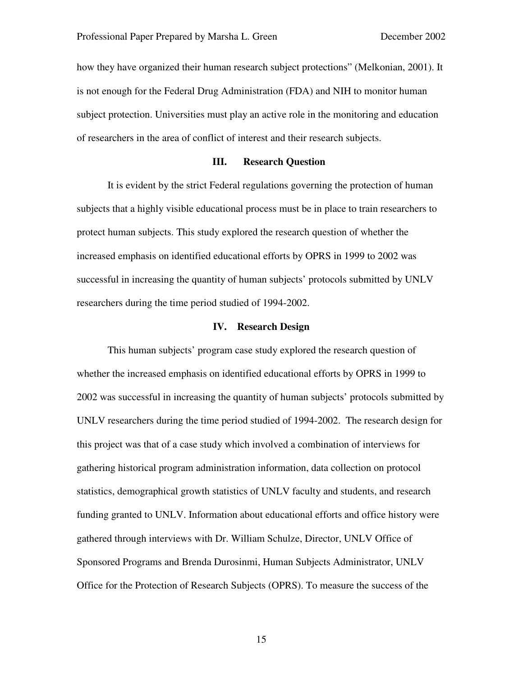how they have organized their human research subject protections" (Melkonian, 2001). It is not enough for the Federal Drug Administration (FDA) and NIH to monitor human subject protection. Universities must play an active role in the monitoring and education of researchers in the area of conflict of interest and their research subjects.

## **III. Research Question**

It is evident by the strict Federal regulations governing the protection of human subjects that a highly visible educational process must be in place to train researchers to protect human subjects. This study explored the research question of whether the increased emphasis on identified educational efforts by OPRS in 1999 to 2002 was successful in increasing the quantity of human subjects' protocols submitted by UNLV researchers during the time period studied of 1994-2002.

#### **IV. Research Design**

This human subjects' program case study explored the research question of whether the increased emphasis on identified educational efforts by OPRS in 1999 to 2002 was successful in increasing the quantity of human subjects' protocols submitted by UNLV researchers during the time period studied of 1994-2002. The research design for this project was that of a case study which involved a combination of interviews for gathering historical program administration information, data collection on protocol statistics, demographical growth statistics of UNLV faculty and students, and research funding granted to UNLV. Information about educational efforts and office history were gathered through interviews with Dr. William Schulze, Director, UNLV Office of Sponsored Programs and Brenda Durosinmi, Human Subjects Administrator, UNLV Office for the Protection of Research Subjects (OPRS). To measure the success of the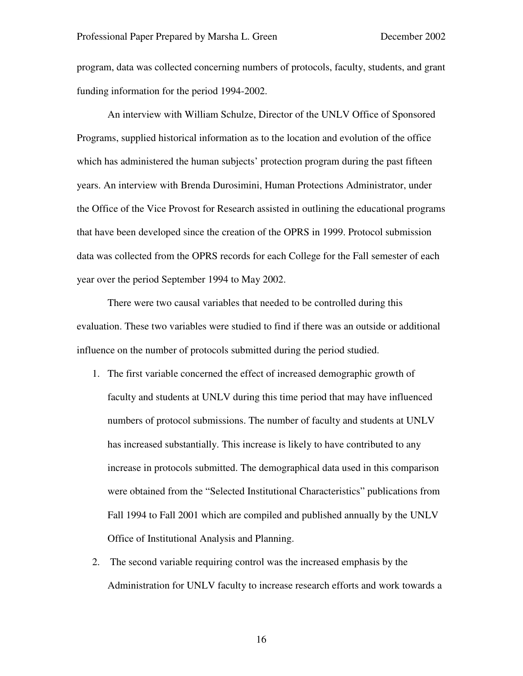program, data was collected concerning numbers of protocols, faculty, students, and grant funding information for the period 1994-2002.

An interview with William Schulze, Director of the UNLV Office of Sponsored Programs, supplied historical information as to the location and evolution of the office which has administered the human subjects' protection program during the past fifteen years. An interview with Brenda Durosimini, Human Protections Administrator, under the Office of the Vice Provost for Research assisted in outlining the educational programs that have been developed since the creation of the OPRS in 1999. Protocol submission data was collected from the OPRS records for each College for the Fall semester of each year over the period September 1994 to May 2002.

There were two causal variables that needed to be controlled during this evaluation. These two variables were studied to find if there was an outside or additional influence on the number of protocols submitted during the period studied.

- 1. The first variable concerned the effect of increased demographic growth of faculty and students at UNLV during this time period that may have influenced numbers of protocol submissions. The number of faculty and students at UNLV has increased substantially. This increase is likely to have contributed to any increase in protocols submitted. The demographical data used in this comparison were obtained from the "Selected Institutional Characteristics" publications from Fall 1994 to Fall 2001 which are compiled and published annually by the UNLV Office of Institutional Analysis and Planning.
- 2. The second variable requiring control was the increased emphasis by the Administration for UNLV faculty to increase research efforts and work towards a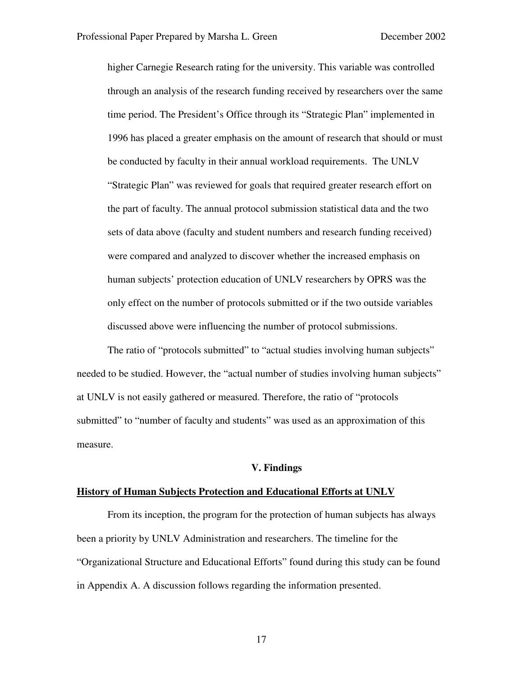higher Carnegie Research rating for the university. This variable was controlled through an analysis of the research funding received by researchers over the same time period. The President's Office through its "Strategic Plan" implemented in 1996 has placed a greater emphasis on the amount of research that should or must be conducted by faculty in their annual workload requirements. The UNLV "Strategic Plan" was reviewed for goals that required greater research effort on the part of faculty. The annual protocol submission statistical data and the two sets of data above (faculty and student numbers and research funding received) were compared and analyzed to discover whether the increased emphasis on human subjects' protection education of UNLV researchers by OPRS was the only effect on the number of protocols submitted or if the two outside variables discussed above were influencing the number of protocol submissions.

The ratio of "protocols submitted" to "actual studies involving human subjects" needed to be studied. However, the "actual number of studies involving human subjects" at UNLV is not easily gathered or measured. Therefore, the ratio of "protocols submitted" to "number of faculty and students" was used as an approximation of this measure.

#### **V. Findings**

#### **History of Human Subjects Protection and Educational Efforts at UNLV**

From its inception, the program for the protection of human subjects has always been a priority by UNLV Administration and researchers. The timeline for the "Organizational Structure and Educational Efforts" found during this study can be found in Appendix A. A discussion follows regarding the information presented.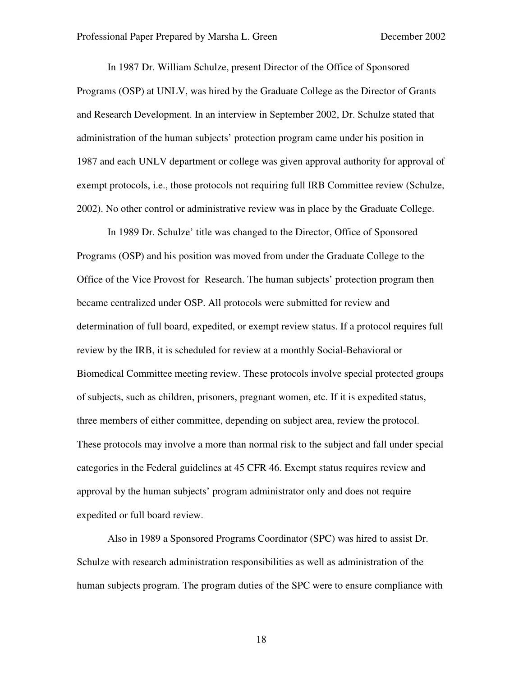In 1987 Dr. William Schulze, present Director of the Office of Sponsored Programs (OSP) at UNLV, was hired by the Graduate College as the Director of Grants and Research Development. In an interview in September 2002, Dr. Schulze stated that administration of the human subjects' protection program came under his position in 1987 and each UNLV department or college was given approval authority for approval of exempt protocols, i.e., those protocols not requiring full IRB Committee review (Schulze, 2002). No other control or administrative review was in place by the Graduate College.

In 1989 Dr. Schulze' title was changed to the Director, Office of Sponsored Programs (OSP) and his position was moved from under the Graduate College to the Office of the Vice Provost for Research. The human subjects' protection program then became centralized under OSP. All protocols were submitted for review and determination of full board, expedited, or exempt review status. If a protocol requires full review by the IRB, it is scheduled for review at a monthly Social-Behavioral or Biomedical Committee meeting review. These protocols involve special protected groups of subjects, such as children, prisoners, pregnant women, etc. If it is expedited status, three members of either committee, depending on subject area, review the protocol. These protocols may involve a more than normal risk to the subject and fall under special categories in the Federal guidelines at 45 CFR 46. Exempt status requires review and approval by the human subjects' program administrator only and does not require expedited or full board review.

Also in 1989 a Sponsored Programs Coordinator (SPC) was hired to assist Dr. Schulze with research administration responsibilities as well as administration of the human subjects program. The program duties of the SPC were to ensure compliance with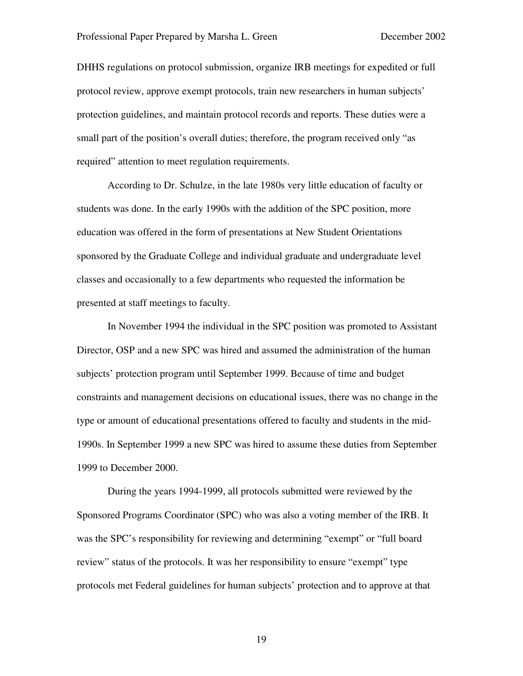DHHS regulations on protocol submission, organize IRB meetings for expedited or full protocol review, approve exempt protocols, train new researchers in human subjects' protection guidelines, and maintain protocol records and reports. These duties were a small part of the position's overall duties; therefore, the program received only "as required" attention to meet regulation requirements.

According to Dr. Schulze, in the late 1980s very little education of faculty or students was done. In the early 1990s with the addition of the SPC position, more education was offered in the form of presentations at New Student Orientations sponsored by the Graduate College and individual graduate and undergraduate level classes and occasionally to a few departments who requested the information be presented at staff meetings to faculty.

In November 1994 the individual in the SPC position was promoted to Assistant Director, OSP and a new SPC was hired and assumed the administration of the human subjects' protection program until September 1999. Because of time and budget constraints and management decisions on educational issues, there was no change in the type or amount of educational presentations offered to faculty and students in the mid-1990s. In September 1999 a new SPC was hired to assume these duties from September 1999 to December 2000.

During the years 1994-1999, all protocols submitted were reviewed by the Sponsored Programs Coordinator (SPC) who was also a voting member of the IRB. It was the SPC's responsibility for reviewing and determining "exempt" or "full board review" status of the protocols. It was her responsibility to ensure "exempt" type protocols met Federal guidelines for human subjects' protection and to approve at that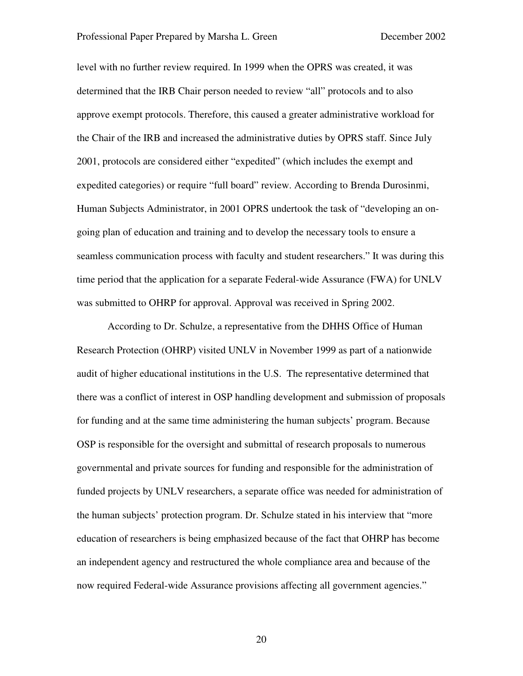#### Professional Paper Prepared by Marsha L. Green December 2002

level with no further review required. In 1999 when the OPRS was created, it was determined that the IRB Chair person needed to review "all" protocols and to also approve exempt protocols. Therefore, this caused a greater administrative workload for the Chair of the IRB and increased the administrative duties by OPRS staff. Since July 2001, protocols are considered either "expedited" (which includes the exempt and expedited categories) or require "full board" review. According to Brenda Durosinmi, Human Subjects Administrator, in 2001 OPRS undertook the task of "developing an ongoing plan of education and training and to develop the necessary tools to ensure a seamless communication process with faculty and student researchers." It was during this time period that the application for a separate Federal-wide Assurance (FWA) for UNLV was submitted to OHRP for approval. Approval was received in Spring 2002.

According to Dr. Schulze, a representative from the DHHS Office of Human Research Protection (OHRP) visited UNLV in November 1999 as part of a nationwide audit of higher educational institutions in the U.S. The representative determined that there was a conflict of interest in OSP handling development and submission of proposals for funding and at the same time administering the human subjects' program. Because OSP is responsible for the oversight and submittal of research proposals to numerous governmental and private sources for funding and responsible for the administration of funded projects by UNLV researchers, a separate office was needed for administration of the human subjects' protection program. Dr. Schulze stated in his interview that "more education of researchers is being emphasized because of the fact that OHRP has become an independent agency and restructured the whole compliance area and because of the now required Federal-wide Assurance provisions affecting all government agencies."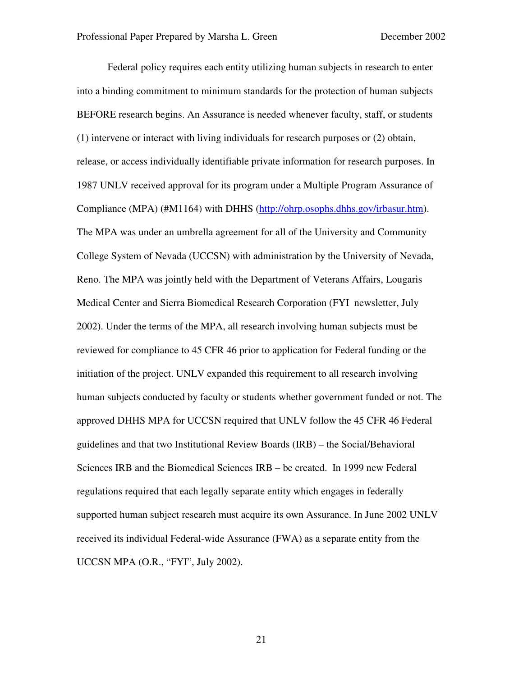Federal policy requires each entity utilizing human subjects in research to enter into a binding commitment to minimum standards for the protection of human subjects BEFORE research begins. An Assurance is needed whenever faculty, staff, or students (1) intervene or interact with living individuals for research purposes or (2) obtain, release, or access individually identifiable private information for research purposes. In 1987 UNLV received approval for its program under a Multiple Program Assurance of Compliance (MPA) (#M1164) with DHHS (http://ohrp.osophs.dhhs.gov/irbasur.htm). The MPA was under an umbrella agreement for all of the University and Community College System of Nevada (UCCSN) with administration by the University of Nevada, Reno. The MPA was jointly held with the Department of Veterans Affairs, Lougaris Medical Center and Sierra Biomedical Research Corporation (FYI newsletter, July 2002). Under the terms of the MPA, all research involving human subjects must be reviewed for compliance to 45 CFR 46 prior to application for Federal funding or the initiation of the project. UNLV expanded this requirement to all research involving human subjects conducted by faculty or students whether government funded or not. The approved DHHS MPA for UCCSN required that UNLV follow the 45 CFR 46 Federal guidelines and that two Institutional Review Boards (IRB) – the Social/Behavioral Sciences IRB and the Biomedical Sciences IRB – be created. In 1999 new Federal regulations required that each legally separate entity which engages in federally supported human subject research must acquire its own Assurance. In June 2002 UNLV received its individual Federal-wide Assurance (FWA) as a separate entity from the UCCSN MPA (O.R., "FYI", July 2002).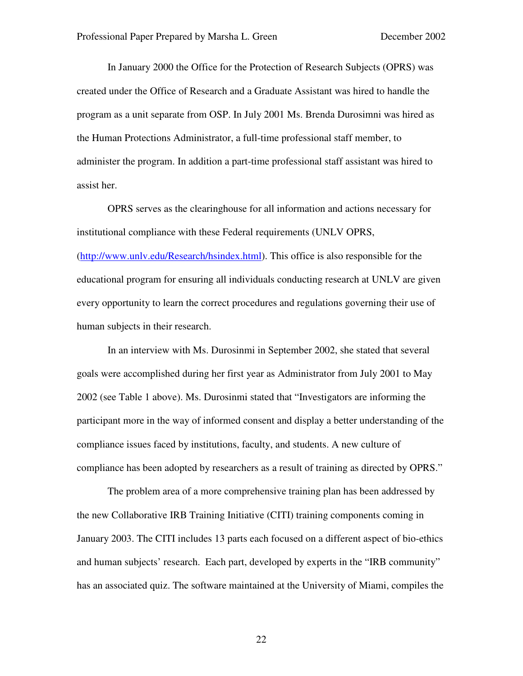In January 2000 the Office for the Protection of Research Subjects (OPRS) was created under the Office of Research and a Graduate Assistant was hired to handle the program as a unit separate from OSP. In July 2001 Ms. Brenda Durosimni was hired as the Human Protections Administrator, a full-time professional staff member, to administer the program. In addition a part-time professional staff assistant was hired to assist her.

OPRS serves as the clearinghouse for all information and actions necessary for institutional compliance with these Federal requirements (UNLV OPRS, (http://www.unlv.edu/Research/hsindex.html). This office is also responsible for the educational program for ensuring all individuals conducting research at UNLV are given every opportunity to learn the correct procedures and regulations governing their use of human subjects in their research.

In an interview with Ms. Durosinmi in September 2002, she stated that several goals were accomplished during her first year as Administrator from July 2001 to May 2002 (see Table 1 above). Ms. Durosinmi stated that "Investigators are informing the participant more in the way of informed consent and display a better understanding of the compliance issues faced by institutions, faculty, and students. A new culture of compliance has been adopted by researchers as a result of training as directed by OPRS."

The problem area of a more comprehensive training plan has been addressed by the new Collaborative IRB Training Initiative (CITI) training components coming in January 2003. The CITI includes 13 parts each focused on a different aspect of bio-ethics and human subjects' research. Each part, developed by experts in the "IRB community" has an associated quiz. The software maintained at the University of Miami, compiles the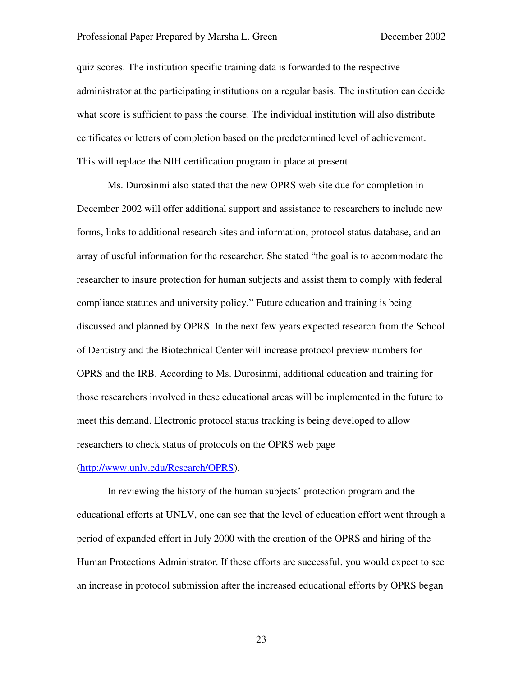#### Professional Paper Prepared by Marsha L. Green December 2002

quiz scores. The institution specific training data is forwarded to the respective administrator at the participating institutions on a regular basis. The institution can decide what score is sufficient to pass the course. The individual institution will also distribute certificates or letters of completion based on the predetermined level of achievement. This will replace the NIH certification program in place at present.

Ms. Durosinmi also stated that the new OPRS web site due for completion in December 2002 will offer additional support and assistance to researchers to include new forms, links to additional research sites and information, protocol status database, and an array of useful information for the researcher. She stated "the goal is to accommodate the researcher to insure protection for human subjects and assist them to comply with federal compliance statutes and university policy." Future education and training is being discussed and planned by OPRS. In the next few years expected research from the School of Dentistry and the Biotechnical Center will increase protocol preview numbers for OPRS and the IRB. According to Ms. Durosinmi, additional education and training for those researchers involved in these educational areas will be implemented in the future to meet this demand. Electronic protocol status tracking is being developed to allow researchers to check status of protocols on the OPRS web page

#### (http://www.unlv.edu/Research/OPRS).

In reviewing the history of the human subjects' protection program and the educational efforts at UNLV, one can see that the level of education effort went through a period of expanded effort in July 2000 with the creation of the OPRS and hiring of the Human Protections Administrator. If these efforts are successful, you would expect to see an increase in protocol submission after the increased educational efforts by OPRS began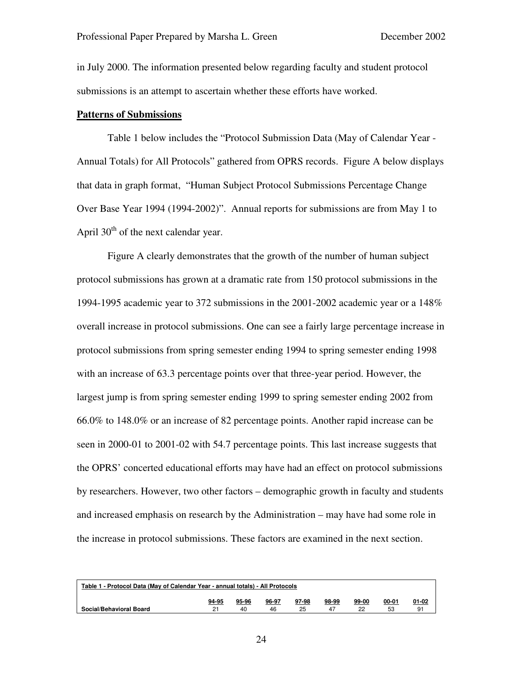in July 2000. The information presented below regarding faculty and student protocol submissions is an attempt to ascertain whether these efforts have worked.

#### **Patterns of Submissions**

Table 1 below includes the "Protocol Submission Data (May of Calendar Year - Annual Totals) for All Protocols" gathered from OPRS records. Figure A below displays that data in graph format, "Human Subject Protocol Submissions Percentage Change Over Base Year 1994 (1994-2002)". Annual reports for submissions are from May 1 to April  $30<sup>th</sup>$  of the next calendar year.

Figure A clearly demonstrates that the growth of the number of human subject protocol submissions has grown at a dramatic rate from 150 protocol submissions in the 1994-1995 academic year to 372 submissions in the 2001-2002 academic year or a 148% overall increase in protocol submissions. One can see a fairly large percentage increase in protocol submissions from spring semester ending 1994 to spring semester ending 1998 with an increase of 63.3 percentage points over that three-year period. However, the largest jump is from spring semester ending 1999 to spring semester ending 2002 from 66.0% to 148.0% or an increase of 82 percentage points. Another rapid increase can be seen in 2000-01 to 2001-02 with 54.7 percentage points. This last increase suggests that the OPRS' concerted educational efforts may have had an effect on protocol submissions by researchers. However, two other factors – demographic growth in faculty and students and increased emphasis on research by the Administration – may have had some role in the increase in protocol submissions. These factors are examined in the next section.

| Table 1 - Protocol Data (May of Calendar Year - annual totals) - All Protocols |       |             |             |             |             |             |                 |                 |
|--------------------------------------------------------------------------------|-------|-------------|-------------|-------------|-------------|-------------|-----------------|-----------------|
| Social/Behavioral Board                                                        | 94-95 | 95-96<br>40 | 96-97<br>46 | 97-98<br>25 | 98-99<br>47 | 99-00<br>22 | $00 - 01$<br>53 | $01 - 02$<br>91 |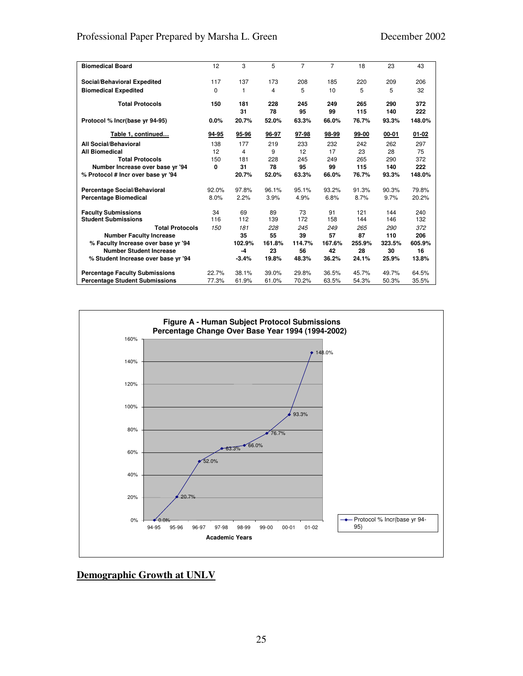| <b>Biomedical Board</b>               | 12       | 3       | 5      | $\overline{7}$ | $\overline{7}$ | 18     | 23        | 43     |
|---------------------------------------|----------|---------|--------|----------------|----------------|--------|-----------|--------|
|                                       |          |         |        |                |                |        |           |        |
| Social/Behavioral Expedited           | 117      | 137     | 173    | 208            | 185            | 220    | 209       | 206    |
| <b>Biomedical Expedited</b>           | $\Omega$ | 1       | 4      | 5              | 10             | 5      | 5         | 32     |
|                                       |          |         |        |                |                |        |           |        |
| <b>Total Protocols</b>                | 150      | 181     | 228    | 245            | 249            | 265    | 290       | 372    |
|                                       |          | 31      | 78     | 95             | 99             | 115    | 140       | 222    |
| Protocol % Incr(base yr 94-95)        | $0.0\%$  | 20.7%   | 52.0%  | 63.3%          | 66.0%          | 76.7%  | 93.3%     | 148.0% |
| Table 1. continued                    | 94-95    | 95-96   | 96-97  | 97-98          | 98-99          | 99-00  | $00 - 01$ | 01-02  |
| <b>All Social/Behavioral</b>          | 138      | 177     | 219    | 233            | 232            | 242    | 262       | 297    |
| <b>All Biomedical</b>                 | 12       | 4       | 9      | 12             | 17             | 23     | 28        | 75     |
| <b>Total Protocols</b>                | 150      | 181     | 228    | 245            | 249            | 265    | 290       | 372    |
| Number Increase over base yr '94      | 0        | 31      | 78     | 95             | 99             | 115    | 140       | 222    |
| % Protocol # Incr over base yr '94    |          | 20.7%   | 52.0%  | 63.3%          | 66.0%          | 76.7%  | 93.3%     | 148.0% |
| Percentage Social/Behavioral          | 92.0%    | 97.8%   | 96.1%  | 95.1%          | 93.2%          | 91.3%  | 90.3%     | 79.8%  |
| <b>Percentage Biomedical</b>          | 8.0%     | 2.2%    | 3.9%   | 4.9%           | 6.8%           | 8.7%   | 9.7%      | 20.2%  |
| <b>Faculty Submissions</b>            | 34       | 69      | 89     | 73             | 91             | 121    | 144       | 240    |
| <b>Student Submissions</b>            | 116      | 112     | 139    | 172            | 158            | 144    | 146       | 132    |
| <b>Total Protocols</b>                | 150      | 181     | 228    | 245            | 249            | 265    | 290       | 372    |
| <b>Number Faculty Increase</b>        |          | 35      | 55     | 39             | 57             | 87     | 110       | 206    |
| % Faculty Increase over base yr '94   |          | 102.9%  | 161.8% | 114.7%         | 167.6%         | 255.9% | 323.5%    | 605.9% |
| <b>Number Student Increase</b>        |          | -4      | 23     | 56             | 42             | 28     | 30        | 16     |
| % Student Increase over base yr '94   |          | $-3.4%$ | 19.8%  | 48.3%          | 36.2%          | 24.1%  | 25.9%     | 13.8%  |
| <b>Percentage Faculty Submissions</b> | 22.7%    | 38.1%   | 39.0%  | 29.8%          | 36.5%          | 45.7%  | 49.7%     | 64.5%  |
| <b>Percentage Student Submissions</b> | 77.3%    | 61.9%   | 61.0%  | 70.2%          | 63.5%          | 54.3%  | 50.3%     | 35.5%  |



**Demographic Growth at UNLV**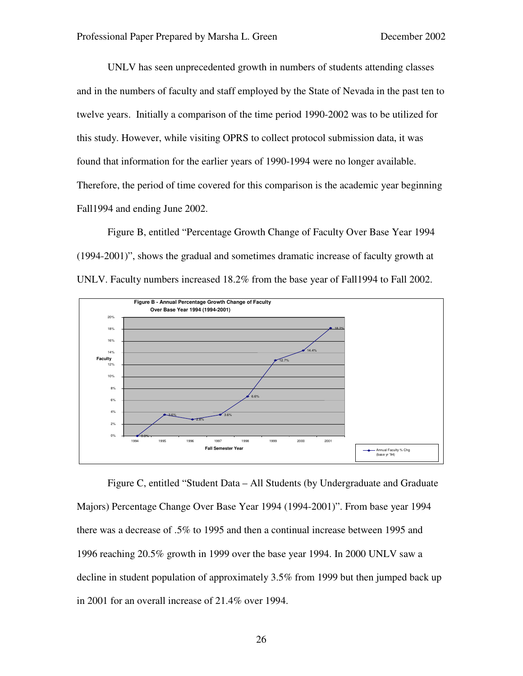UNLV has seen unprecedented growth in numbers of students attending classes and in the numbers of faculty and staff employed by the State of Nevada in the past ten to twelve years. Initially a comparison of the time period 1990-2002 was to be utilized for this study. However, while visiting OPRS to collect protocol submission data, it was found that information for the earlier years of 1990-1994 were no longer available. Therefore, the period of time covered for this comparison is the academic year beginning Fall1994 and ending June 2002.

Figure B, entitled "Percentage Growth Change of Faculty Over Base Year 1994 (1994-2001)", shows the gradual and sometimes dramatic increase of faculty growth at UNLV. Faculty numbers increased 18.2% from the base year of Fall1994 to Fall 2002.



 Figure C, entitled "Student Data – All Students (by Undergraduate and Graduate Majors) Percentage Change Over Base Year 1994 (1994-2001)". From base year 1994 there was a decrease of .5% to 1995 and then a continual increase between 1995 and 1996 reaching 20.5% growth in 1999 over the base year 1994. In 2000 UNLV saw a decline in student population of approximately 3.5% from 1999 but then jumped back up in 2001 for an overall increase of 21.4% over 1994.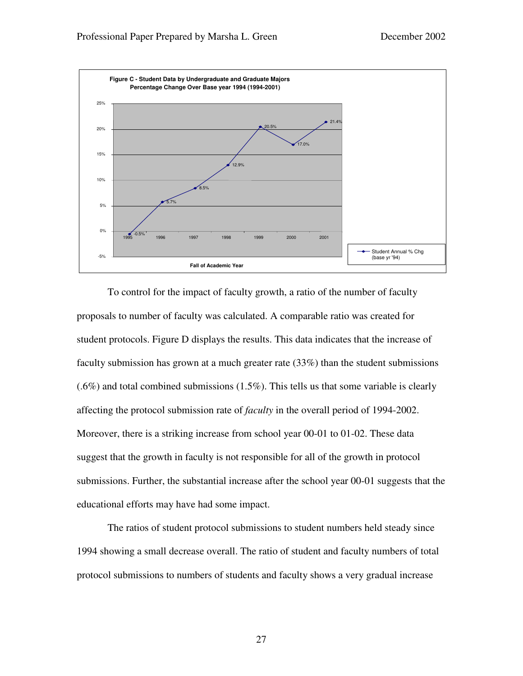

To control for the impact of faculty growth, a ratio of the number of faculty proposals to number of faculty was calculated. A comparable ratio was created for student protocols. Figure D displays the results. This data indicates that the increase of faculty submission has grown at a much greater rate (33%) than the student submissions  $(0.6\%)$  and total combined submissions  $(1.5\%)$ . This tells us that some variable is clearly affecting the protocol submission rate of *faculty* in the overall period of 1994-2002. Moreover, there is a striking increase from school year 00-01 to 01-02. These data suggest that the growth in faculty is not responsible for all of the growth in protocol submissions. Further, the substantial increase after the school year 00-01 suggests that the educational efforts may have had some impact.

The ratios of student protocol submissions to student numbers held steady since 1994 showing a small decrease overall. The ratio of student and faculty numbers of total protocol submissions to numbers of students and faculty shows a very gradual increase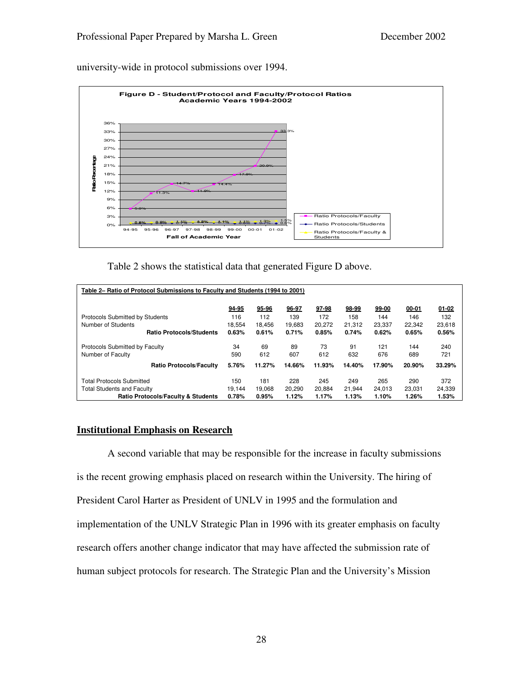**Figure D - Student/Protocol and Faculty/Protocol Ratios Academic Years 1994-2002** 36% 33% 33.3% 30% 27% 24% **Ratio Recentage Ratio Percentage** 21% 20.9% 18% 17.9% 15% 14.7%  $\frac{1}{14.49}$ 12% 11.9%  $\frac{2}{11.3%}$ 9% 6% 5.8% 3% Ratio Protocols/Faculty  $0.8\%$  0.8% 0.8% 0.8% 0.7% 0.8% 0.8% 0.7% 1.5% Ratio Protocols/Students 0% 94-95 95-96 96-97 97-98 98-99 99-00 00-01 01-02 Ratio Protocols/Faculty & **Fall of Academic Year** Students

university-wide in protocol submissions over 1994.

Table 2 shows the statistical data that generated Figure D above.

| Table 2- Ratio of Protocol Submissions to Faculty and Students (1994 to 2001) |        |        |        |        |        |        |        |        |
|-------------------------------------------------------------------------------|--------|--------|--------|--------|--------|--------|--------|--------|
|                                                                               | 94-95  | 95-96  | 96-97  | 97-98  | 98-99  | 99-00  | 00-01  | 01-02  |
| Protocols Submitted by Students                                               | 116    | 112    | 139    | 172    | 158    | 144    | 146    | 132    |
| Number of Students                                                            | 18.554 | 18.456 | 19.683 | 20.272 | 21.312 | 23.337 | 22.342 | 23,618 |
| <b>Ratio Protocols/Students</b>                                               | 0.63%  | 0.61%  | 0.71%  | 0.85%  | 0.74%  | 0.62%  | 0.65%  | 0.56%  |
| Protocols Submitted by Faculty                                                | 34     | 69     | 89     | 73     | 91     | 121    | 144    | 240    |
| Number of Faculty                                                             | 590    | 612    | 607    | 612    | 632    | 676    | 689    | 721    |
| <b>Ratio Protocols/Faculty</b>                                                | 5.76%  | 11.27% | 14.66% | 11.93% | 14.40% | 17.90% | 20.90% | 33.29% |
| <b>Total Protocols Submitted</b>                                              | 150    | 181    | 228    | 245    | 249    | 265    | 290    | 372    |
| <b>Total Students and Faculty</b>                                             | 19.144 | 19.068 | 20.290 | 20.884 | 21.944 | 24.013 | 23.031 | 24,339 |
| <b>Ratio Protocols/Faculty &amp; Students</b>                                 | 0.78%  | 0.95%  | 1.12%  | 1.17%  | 1.13%  | 1.10%  | 1.26%  | 1.53%  |

## **Institutional Emphasis on Research**

A second variable that may be responsible for the increase in faculty submissions is the recent growing emphasis placed on research within the University. The hiring of President Carol Harter as President of UNLV in 1995 and the formulation and implementation of the UNLV Strategic Plan in 1996 with its greater emphasis on faculty research offers another change indicator that may have affected the submission rate of human subject protocols for research. The Strategic Plan and the University's Mission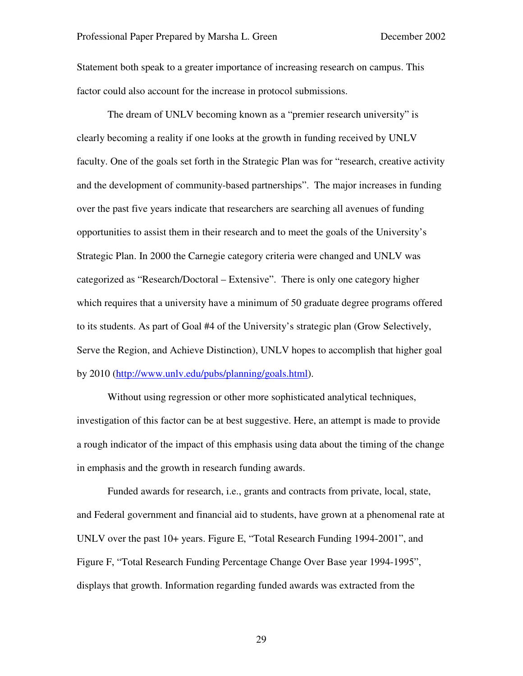Statement both speak to a greater importance of increasing research on campus. This factor could also account for the increase in protocol submissions.

The dream of UNLV becoming known as a "premier research university" is clearly becoming a reality if one looks at the growth in funding received by UNLV faculty. One of the goals set forth in the Strategic Plan was for "research, creative activity and the development of community-based partnerships". The major increases in funding over the past five years indicate that researchers are searching all avenues of funding opportunities to assist them in their research and to meet the goals of the University's Strategic Plan. In 2000 the Carnegie category criteria were changed and UNLV was categorized as "Research/Doctoral – Extensive". There is only one category higher which requires that a university have a minimum of 50 graduate degree programs offered to its students. As part of Goal #4 of the University's strategic plan (Grow Selectively, Serve the Region, and Achieve Distinction), UNLV hopes to accomplish that higher goal by 2010 (http://www.unlv.edu/pubs/planning/goals.html).

Without using regression or other more sophisticated analytical techniques, investigation of this factor can be at best suggestive. Here, an attempt is made to provide a rough indicator of the impact of this emphasis using data about the timing of the change in emphasis and the growth in research funding awards.

Funded awards for research, i.e., grants and contracts from private, local, state, and Federal government and financial aid to students, have grown at a phenomenal rate at UNLV over the past 10+ years. Figure E, "Total Research Funding 1994-2001", and Figure F, "Total Research Funding Percentage Change Over Base year 1994-1995", displays that growth. Information regarding funded awards was extracted from the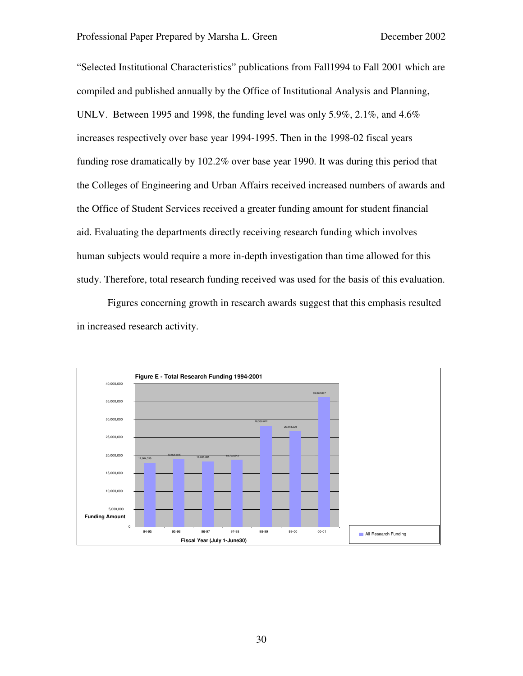#### Professional Paper Prepared by Marsha L. Green December 2002

"Selected Institutional Characteristics" publications from Fall1994 to Fall 2001 which are compiled and published annually by the Office of Institutional Analysis and Planning, UNLV. Between 1995 and 1998, the funding level was only 5.9%, 2.1%, and 4.6% increases respectively over base year 1994-1995. Then in the 1998-02 fiscal years funding rose dramatically by 102.2% over base year 1990. It was during this period that the Colleges of Engineering and Urban Affairs received increased numbers of awards and the Office of Student Services received a greater funding amount for student financial aid. Evaluating the departments directly receiving research funding which involves human subjects would require a more in-depth investigation than time allowed for this study. Therefore, total research funding received was used for the basis of this evaluation.

Figures concerning growth in research awards suggest that this emphasis resulted in increased research activity.

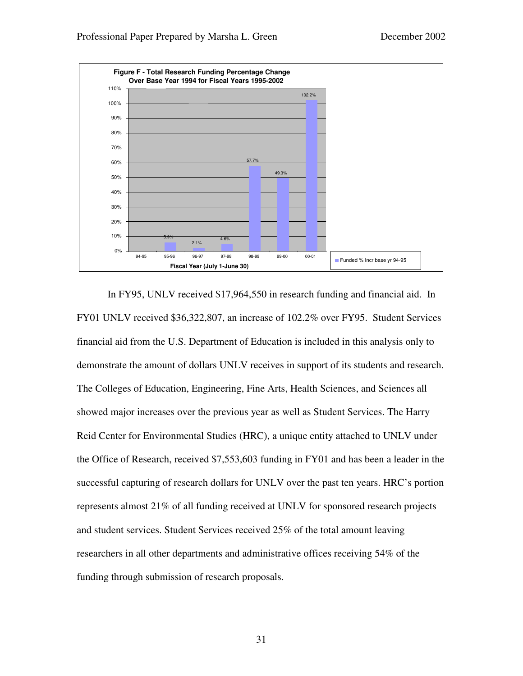

In FY95, UNLV received \$17,964,550 in research funding and financial aid. In FY01 UNLV received \$36,322,807, an increase of 102.2% over FY95. Student Services financial aid from the U.S. Department of Education is included in this analysis only to demonstrate the amount of dollars UNLV receives in support of its students and research. The Colleges of Education, Engineering, Fine Arts, Health Sciences, and Sciences all showed major increases over the previous year as well as Student Services. The Harry Reid Center for Environmental Studies (HRC), a unique entity attached to UNLV under the Office of Research, received \$7,553,603 funding in FY01 and has been a leader in the successful capturing of research dollars for UNLV over the past ten years. HRC's portion represents almost 21% of all funding received at UNLV for sponsored research projects and student services. Student Services received 25% of the total amount leaving researchers in all other departments and administrative offices receiving 54% of the funding through submission of research proposals.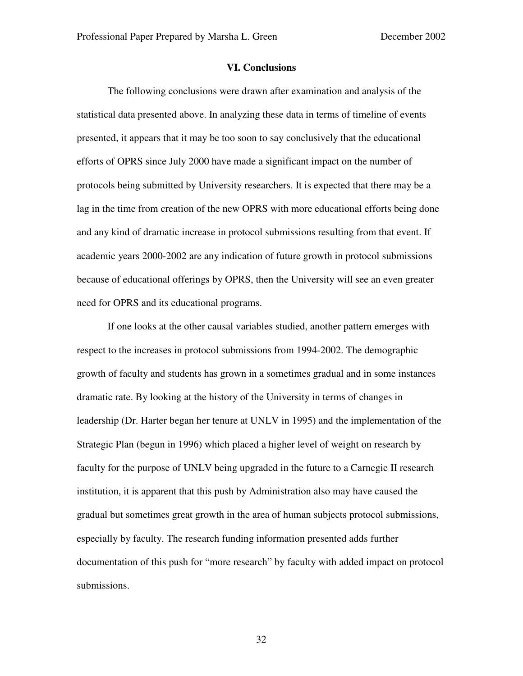#### **VI. Conclusions**

The following conclusions were drawn after examination and analysis of the statistical data presented above. In analyzing these data in terms of timeline of events presented, it appears that it may be too soon to say conclusively that the educational efforts of OPRS since July 2000 have made a significant impact on the number of protocols being submitted by University researchers. It is expected that there may be a lag in the time from creation of the new OPRS with more educational efforts being done and any kind of dramatic increase in protocol submissions resulting from that event. If academic years 2000-2002 are any indication of future growth in protocol submissions because of educational offerings by OPRS, then the University will see an even greater need for OPRS and its educational programs.

If one looks at the other causal variables studied, another pattern emerges with respect to the increases in protocol submissions from 1994-2002. The demographic growth of faculty and students has grown in a sometimes gradual and in some instances dramatic rate. By looking at the history of the University in terms of changes in leadership (Dr. Harter began her tenure at UNLV in 1995) and the implementation of the Strategic Plan (begun in 1996) which placed a higher level of weight on research by faculty for the purpose of UNLV being upgraded in the future to a Carnegie II research institution, it is apparent that this push by Administration also may have caused the gradual but sometimes great growth in the area of human subjects protocol submissions, especially by faculty. The research funding information presented adds further documentation of this push for "more research" by faculty with added impact on protocol submissions.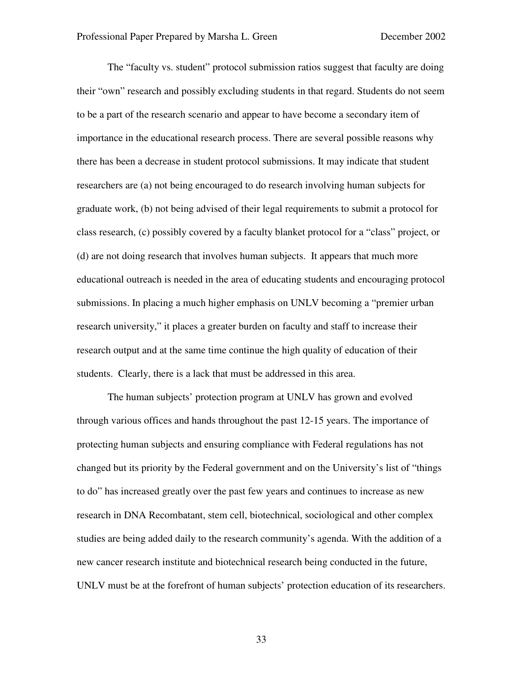The "faculty vs. student" protocol submission ratios suggest that faculty are doing their "own" research and possibly excluding students in that regard. Students do not seem to be a part of the research scenario and appear to have become a secondary item of importance in the educational research process. There are several possible reasons why there has been a decrease in student protocol submissions. It may indicate that student researchers are (a) not being encouraged to do research involving human subjects for graduate work, (b) not being advised of their legal requirements to submit a protocol for class research, (c) possibly covered by a faculty blanket protocol for a "class" project, or (d) are not doing research that involves human subjects. It appears that much more educational outreach is needed in the area of educating students and encouraging protocol submissions. In placing a much higher emphasis on UNLV becoming a "premier urban research university," it places a greater burden on faculty and staff to increase their research output and at the same time continue the high quality of education of their students. Clearly, there is a lack that must be addressed in this area.

The human subjects' protection program at UNLV has grown and evolved through various offices and hands throughout the past 12-15 years. The importance of protecting human subjects and ensuring compliance with Federal regulations has not changed but its priority by the Federal government and on the University's list of "things to do" has increased greatly over the past few years and continues to increase as new research in DNA Recombatant, stem cell, biotechnical, sociological and other complex studies are being added daily to the research community's agenda. With the addition of a new cancer research institute and biotechnical research being conducted in the future, UNLV must be at the forefront of human subjects' protection education of its researchers.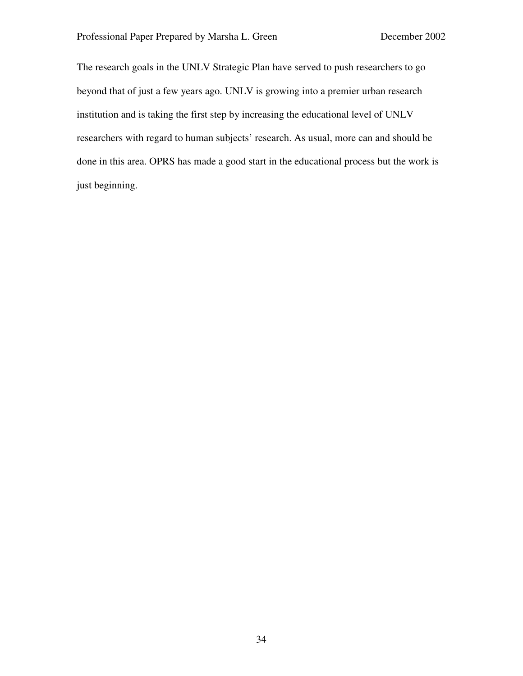# Professional Paper Prepared by Marsha L. Green December 2002

The research goals in the UNLV Strategic Plan have served to push researchers to go beyond that of just a few years ago. UNLV is growing into a premier urban research institution and is taking the first step by increasing the educational level of UNLV researchers with regard to human subjects' research. As usual, more can and should be done in this area. OPRS has made a good start in the educational process but the work is just beginning.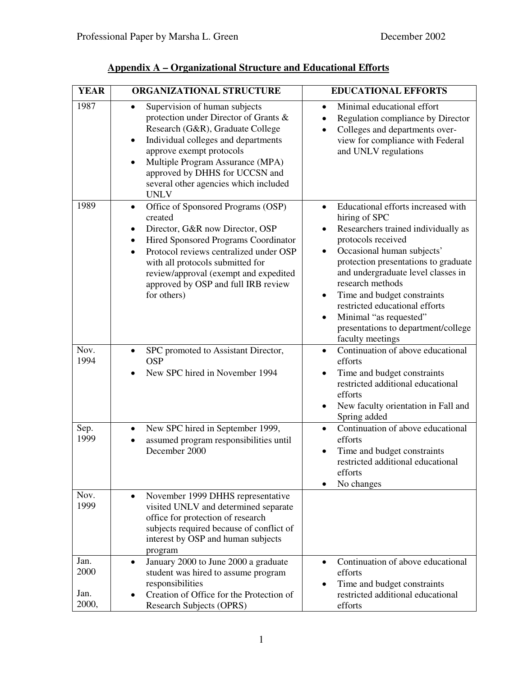| <b>YEAR</b>                   | ORGANIZATIONAL STRUCTURE                                                                                                                                                                                                                                                                                                                                  | <b>EDUCATIONAL EFFORTS</b>                                                                                                                                                                                                                                                                                                                                                                                                                                      |
|-------------------------------|-----------------------------------------------------------------------------------------------------------------------------------------------------------------------------------------------------------------------------------------------------------------------------------------------------------------------------------------------------------|-----------------------------------------------------------------------------------------------------------------------------------------------------------------------------------------------------------------------------------------------------------------------------------------------------------------------------------------------------------------------------------------------------------------------------------------------------------------|
| 1987                          | Supervision of human subjects<br>$\bullet$<br>protection under Director of Grants &<br>Research (G&R), Graduate College<br>Individual colleges and departments<br>٠<br>approve exempt protocols<br>Multiple Program Assurance (MPA)<br>$\bullet$<br>approved by DHHS for UCCSN and<br>several other agencies which included<br><b>UNLV</b>                | Minimal educational effort<br>$\bullet$<br>Regulation compliance by Director<br>Colleges and departments over-<br>$\bullet$<br>view for compliance with Federal<br>and UNLV regulations                                                                                                                                                                                                                                                                         |
| 1989                          | Office of Sponsored Programs (OSP)<br>$\bullet$<br>created<br>Director, G&R now Director, OSP<br>$\bullet$<br>Hired Sponsored Programs Coordinator<br>$\bullet$<br>Protocol reviews centralized under OSP<br>$\bullet$<br>with all protocols submitted for<br>review/approval (exempt and expedited<br>approved by OSP and full IRB review<br>for others) | Educational efforts increased with<br>$\bullet$<br>hiring of SPC<br>Researchers trained individually as<br>$\bullet$<br>protocols received<br>Occasional human subjects'<br>$\bullet$<br>protection presentations to graduate<br>and undergraduate level classes in<br>research methods<br>Time and budget constraints<br>٠<br>restricted educational efforts<br>Minimal "as requested"<br>$\bullet$<br>presentations to department/college<br>faculty meetings |
| Nov.<br>1994                  | SPC promoted to Assistant Director,<br>$\bullet$<br><b>OSP</b><br>New SPC hired in November 1994                                                                                                                                                                                                                                                          | Continuation of above educational<br>$\bullet$<br>efforts<br>Time and budget constraints<br>$\bullet$<br>restricted additional educational<br>efforts<br>New faculty orientation in Fall and<br>$\bullet$<br>Spring added                                                                                                                                                                                                                                       |
| Sep.<br>1999                  | New SPC hired in September 1999,<br>$\bullet$<br>assumed program responsibilities until<br>$\bullet$<br>December 2000                                                                                                                                                                                                                                     | Continuation of above educational<br>$\bullet$<br>efforts<br>Time and budget constraints<br>restricted additional educational<br>efforts<br>No changes                                                                                                                                                                                                                                                                                                          |
| Nov.<br>1999                  | November 1999 DHHS representative<br>$\bullet$<br>visited UNLV and determined separate<br>office for protection of research<br>subjects required because of conflict of<br>interest by OSP and human subjects<br>program                                                                                                                                  |                                                                                                                                                                                                                                                                                                                                                                                                                                                                 |
| Jan.<br>2000<br>Jan.<br>2000, | January 2000 to June 2000 a graduate<br>$\bullet$<br>student was hired to assume program<br>responsibilities<br>Creation of Office for the Protection of<br><b>Research Subjects (OPRS)</b>                                                                                                                                                               | Continuation of above educational<br>$\bullet$<br>efforts<br>Time and budget constraints<br>$\bullet$<br>restricted additional educational<br>efforts                                                                                                                                                                                                                                                                                                           |

# **Appendix A – Organizational Structure and Educational Efforts**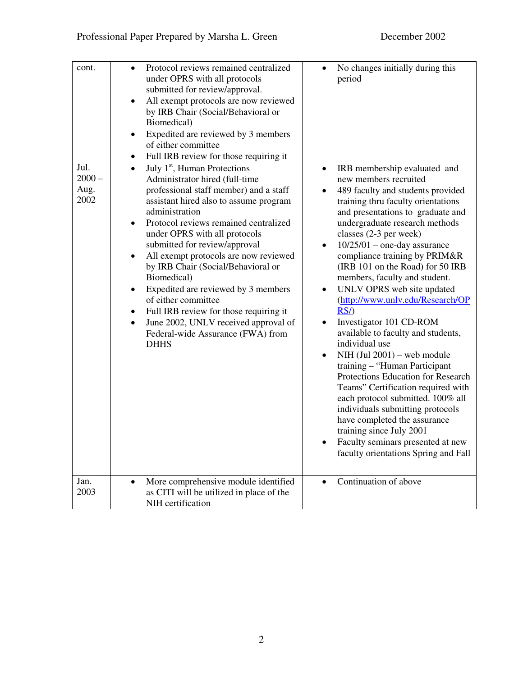| cont.<br>Jul.<br>$2000 -$<br>Aug.<br>2002 | Protocol reviews remained centralized<br>under OPRS with all protocols<br>submitted for review/approval.<br>All exempt protocols are now reviewed<br>by IRB Chair (Social/Behavioral or<br>Biomedical)<br>Expedited are reviewed by 3 members<br>of either committee<br>Full IRB review for those requiring it<br>٠<br>July $1st$ , Human Protections<br>$\bullet$<br>Administrator hired (full-time<br>professional staff member) and a staff<br>assistant hired also to assume program<br>administration<br>Protocol reviews remained centralized<br>under OPRS with all protocols<br>submitted for review/approval<br>All exempt protocols are now reviewed<br>$\bullet$ | No changes initially during this<br>period<br>IRB membership evaluated and<br>$\bullet$<br>new members recruited<br>489 faculty and students provided<br>training thru faculty orientations<br>and presentations to graduate and<br>undergraduate research methods<br>classes (2-3 per week)<br>$10/25/01$ – one-day assurance<br>$\bullet$<br>compliance training by PRIM&R                                                                                                                                                                                                                                    |
|-------------------------------------------|-----------------------------------------------------------------------------------------------------------------------------------------------------------------------------------------------------------------------------------------------------------------------------------------------------------------------------------------------------------------------------------------------------------------------------------------------------------------------------------------------------------------------------------------------------------------------------------------------------------------------------------------------------------------------------|-----------------------------------------------------------------------------------------------------------------------------------------------------------------------------------------------------------------------------------------------------------------------------------------------------------------------------------------------------------------------------------------------------------------------------------------------------------------------------------------------------------------------------------------------------------------------------------------------------------------|
|                                           | by IRB Chair (Social/Behavioral or<br>Biomedical)<br>Expedited are reviewed by 3 members<br>$\bullet$<br>of either committee<br>Full IRB review for those requiring it<br>٠<br>June 2002, UNLV received approval of<br>$\bullet$<br>Federal-wide Assurance (FWA) from<br><b>DHHS</b>                                                                                                                                                                                                                                                                                                                                                                                        | (IRB 101 on the Road) for 50 IRB<br>members, faculty and student.<br>UNLV OPRS web site updated<br>٠<br>(http://www.unlv.edu/Research/OP<br>RS/<br>Investigator 101 CD-ROM<br>$\bullet$<br>available to faculty and students,<br>individual use<br>$NIH$ (Jul 2001) – web module<br>training - "Human Participant<br>Protections Education for Research<br>Teams" Certification required with<br>each protocol submitted. 100% all<br>individuals submitting protocols<br>have completed the assurance<br>training since July 2001<br>Faculty seminars presented at new<br>faculty orientations Spring and Fall |
| Jan.<br>2003                              | More comprehensive module identified<br>$\bullet$<br>as CITI will be utilized in place of the<br>NIH certification                                                                                                                                                                                                                                                                                                                                                                                                                                                                                                                                                          | Continuation of above                                                                                                                                                                                                                                                                                                                                                                                                                                                                                                                                                                                           |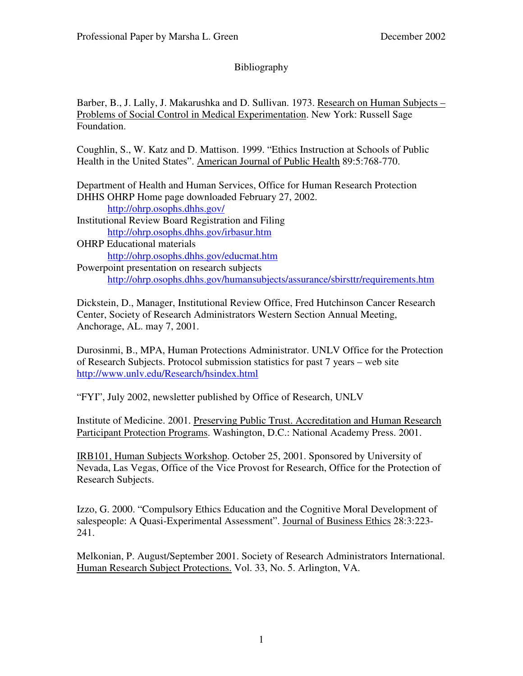# Bibliography

Barber, B., J. Lally, J. Makarushka and D. Sullivan. 1973. Research on Human Subjects – Problems of Social Control in Medical Experimentation. New York: Russell Sage Foundation.

Coughlin, S., W. Katz and D. Mattison. 1999. "Ethics Instruction at Schools of Public Health in the United States". American Journal of Public Health 89:5:768-770.

Department of Health and Human Services, Office for Human Research Protection DHHS OHRP Home page downloaded February 27, 2002.

http://ohrp.osophs.dhhs.gov/ Institutional Review Board Registration and Filing

http://ohrp.osophs.dhhs.gov/irbasur.htm

OHRP Educational materials http://ohrp.osophs.dhhs.gov/educmat.htm Powerpoint presentation on research subjects

http://ohrp.osophs.dhhs.gov/humansubjects/assurance/sbirsttr/requirements.htm

Dickstein, D., Manager, Institutional Review Office, Fred Hutchinson Cancer Research Center, Society of Research Administrators Western Section Annual Meeting, Anchorage, AL. may 7, 2001.

Durosinmi, B., MPA, Human Protections Administrator. UNLV Office for the Protection of Research Subjects. Protocol submission statistics for past 7 years – web site http://www.unlv.edu/Research/hsindex.html

"FYI", July 2002, newsletter published by Office of Research, UNLV

Institute of Medicine. 2001. Preserving Public Trust. Accreditation and Human Research Participant Protection Programs. Washington, D.C.: National Academy Press. 2001.

IRB101, Human Subjects Workshop. October 25, 2001. Sponsored by University of Nevada, Las Vegas, Office of the Vice Provost for Research, Office for the Protection of Research Subjects.

Izzo, G. 2000. "Compulsory Ethics Education and the Cognitive Moral Development of salespeople: A Quasi-Experimental Assessment". Journal of Business Ethics 28:3:223- 241.

Melkonian, P. August/September 2001. Society of Research Administrators International. Human Research Subject Protections. Vol. 33, No. 5. Arlington, VA.